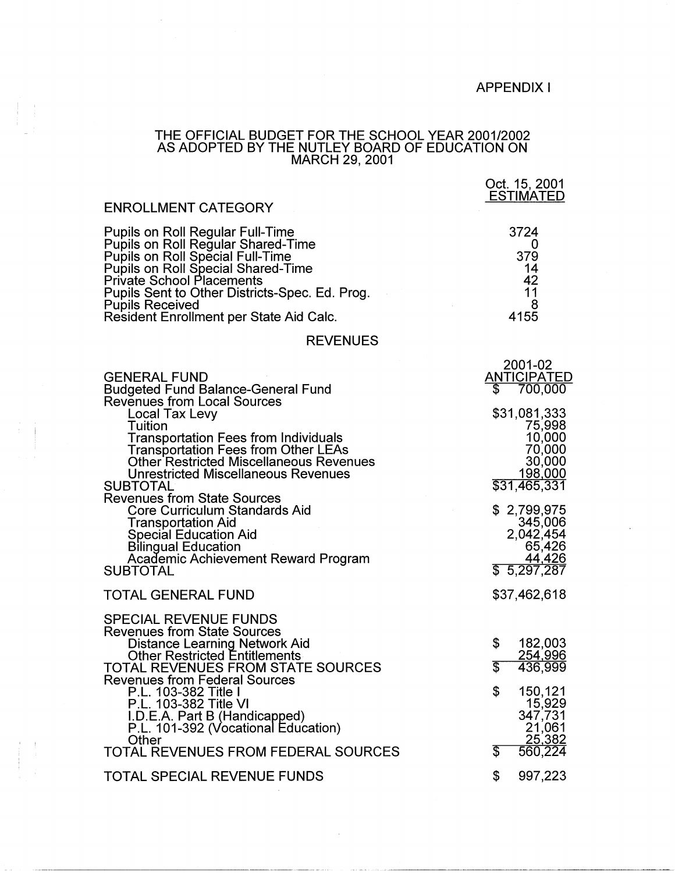## APPENDIX I

Oct. 15, 2001

## THE OFFICIAL BUDGET FOR THE SCHOOL YEAR 2001/2002 AS ADOPTED BY THE NUTLEY BOARD OF EDUCATION ON MARCH 29, 2001

 $\bar{\beta}$ 

| <b>ENROLLMENT CATEGORY</b>                                                                                                                                                                                                                                                                                                                                                                                                                                                                                                                                               | <b>ESTIMATED</b>                                                                                                                                                                                           |
|--------------------------------------------------------------------------------------------------------------------------------------------------------------------------------------------------------------------------------------------------------------------------------------------------------------------------------------------------------------------------------------------------------------------------------------------------------------------------------------------------------------------------------------------------------------------------|------------------------------------------------------------------------------------------------------------------------------------------------------------------------------------------------------------|
| <b>Pupils on Roll Regular Full-Time</b><br>Pupils on Roll Regular Shared-Time<br><b>Pupils on Roll Special Full-Time<br/>Pupils on Roll Special Shared-Time</b><br><b>Private School Placements</b><br>Pupils Sent to Other Districts-Spec. Ed. Prog.<br><b>Pupils Received</b><br>Resident Enrollment per State Aid Calc.                                                                                                                                                                                                                                               | 3724<br>0<br>379<br>14<br>42<br>11<br>8<br>4155                                                                                                                                                            |
| <b>REVENUES</b>                                                                                                                                                                                                                                                                                                                                                                                                                                                                                                                                                          |                                                                                                                                                                                                            |
| <b>GENERAL FUND</b><br><b>Budgeted Fund Balance-General Fund</b><br><b>Revenues from Local Sources</b><br>Local Tax Levy<br>Tuition<br>Transportation Fees from Individuals<br><b>Transportation Fees from Other LEAs</b><br><b>Other Restricted Miscellaneous Revenues</b><br><b>Unrestricted Miscellaneous Revenues</b><br><b>SUBTOTAL</b><br><b>Revenues from State Sources</b><br><b>Core Curriculum Standards Aid</b><br>Transportation Aid<br>Special Education Aid<br><b>Bilingual Education</b><br><b>Academic Achievement Reward Program</b><br><b>SUBTOTAL</b> | 2001-02<br><u>ANTICIPATED</u><br>700,000<br>S<br>\$31,081,333<br>75,998<br>10,000<br>70,000<br>30,000<br>198,000<br>\$31,465,331<br>\$2,799,975<br>345,006<br>2,042,454<br>65,426<br>44,426<br>\$5,297,287 |
| <b>TOTAL GENERAL FUND</b>                                                                                                                                                                                                                                                                                                                                                                                                                                                                                                                                                | \$37,462,618                                                                                                                                                                                               |
| <b>SPECIAL REVENUE FUNDS</b><br><b>Revenues from State Sources</b><br>Distance Learning Network Aid<br><b>Other Restricted Entitlements</b><br><b>TOTAL REVENUES FROM STATE SOURCES</b><br><b>Revenues from Federal Sources</b><br>P.L. 103-382 Title I<br>P.L. 103-382 Title VI<br>I.D.E.A. Part B (Handicapped)<br>P.L. 101-392 (Vocational Education)<br>Other<br>TOTAL REVENUES FROM FEDERAL SOURCES                                                                                                                                                                 | \$<br>182,003<br><u>254,996</u><br>3<br>436,999<br>\$<br>150,121<br>15,929<br>347,731<br>21,061<br>25,382<br>560,224<br>T                                                                                  |
| <b>TOTAL SPECIAL REVENUE FUNDS</b>                                                                                                                                                                                                                                                                                                                                                                                                                                                                                                                                       | 997,223<br>\$                                                                                                                                                                                              |

 $\sim$ 

 $\bar{\lambda}$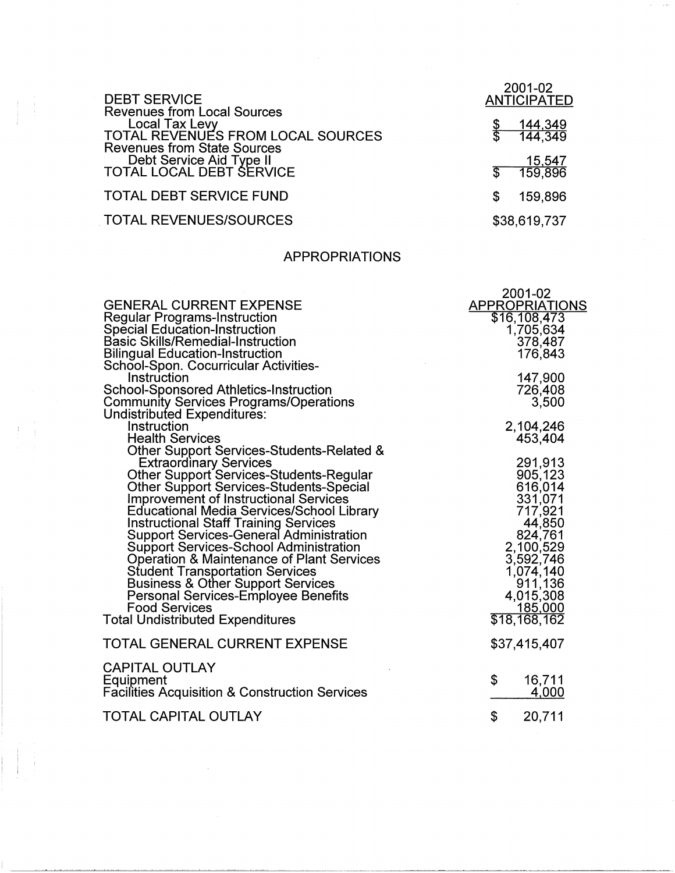| <b>DEBT SERVICE</b>                                                                                                                    | 2001-02<br><b>ANTICIPATED</b> |
|----------------------------------------------------------------------------------------------------------------------------------------|-------------------------------|
| <b>Revenues from Local Sources</b><br><b>Local Tax Levy</b><br>TOTAL REVENUES FROM LOCAL SOURCES<br><b>Revenues from State Sources</b> | <u>144,349</u><br>144,349     |
| Debt Service Aid Type II<br>TOTAL LOCAL DEBT SERVICE                                                                                   | <u>15,547</u><br>159,896      |
| <b>TOTAL DEBT SERVICE FUND</b>                                                                                                         | 159,896<br>S                  |
| <b>TOTAL REVENUES/SOURCES</b>                                                                                                          | \$38,619,737                  |

## APPROPRIATIONS

|                                                                                                                                                                                                                                                                                                                                                                                                                                                                                                                                                                                                                                                                                     | 2001-02                                                                                                                                                                                                    |
|-------------------------------------------------------------------------------------------------------------------------------------------------------------------------------------------------------------------------------------------------------------------------------------------------------------------------------------------------------------------------------------------------------------------------------------------------------------------------------------------------------------------------------------------------------------------------------------------------------------------------------------------------------------------------------------|------------------------------------------------------------------------------------------------------------------------------------------------------------------------------------------------------------|
| <b>GENERAL CURRENT EXPENSE</b><br><b>Regular Programs-Instruction</b>                                                                                                                                                                                                                                                                                                                                                                                                                                                                                                                                                                                                               | <b>APPROPRIATIONS</b><br>\$16,108,473                                                                                                                                                                      |
| Special Education-Instruction<br><b>Basic Skills/Remedial-Instruction</b><br><b>Bilingual Education-Instruction</b><br>School-Spon. Cocurricular Activities-                                                                                                                                                                                                                                                                                                                                                                                                                                                                                                                        | 1,705,634<br>378,487<br>176,843                                                                                                                                                                            |
| Instruction<br>School-Sponsored Athletics-Instruction<br><b>Community Services Programs/Operations</b>                                                                                                                                                                                                                                                                                                                                                                                                                                                                                                                                                                              | 147,900<br>726,408<br>3,500                                                                                                                                                                                |
| Undistributed Expenditures:<br>Instruction<br><b>Health Services</b>                                                                                                                                                                                                                                                                                                                                                                                                                                                                                                                                                                                                                | 2,104,246<br>453,404                                                                                                                                                                                       |
| Other Support Services-Students-Related &<br><b>Extraordinary Services</b><br><b>Other Support Services-Students-Regular</b><br><b>Other Support Services-Students-Special</b><br><b>Improvement of Instructional Services</b><br><b>Educational Media Services/School Library</b><br><b>Instructional Staff Training Services</b><br>Support Services-General Administration<br>Support Services-School Administration<br><b>Operation &amp; Maintenance of Plant Services</b><br><b>Student Transportation Services</b><br><b>Business &amp; Other Support Services</b><br>Personal Services-Employee Benefits<br><b>Food Services</b><br><b>Total Undistributed Expenditures</b> | 291,913<br>905,123<br>616,014<br>331,071<br>717,921<br>44,850<br>824,761<br>2,100,529<br>3,592,746<br>1,074,140<br>$\begin{array}{c} \n 0.911, 136 \\ 4.015, 308\n \end{array}$<br>185,000<br>\$18,168,162 |
| TOTAL GENERAL CURRENT EXPENSE                                                                                                                                                                                                                                                                                                                                                                                                                                                                                                                                                                                                                                                       | \$37,415,407                                                                                                                                                                                               |
| <b>CAPITAL OUTLAY</b><br>Equipment<br><b>Facilities Acquisition &amp; Construction Services</b>                                                                                                                                                                                                                                                                                                                                                                                                                                                                                                                                                                                     | \$<br>16,711<br>4,000                                                                                                                                                                                      |
| TOTAL CAPITAL OUTLAY                                                                                                                                                                                                                                                                                                                                                                                                                                                                                                                                                                                                                                                                | \$<br>20,711                                                                                                                                                                                               |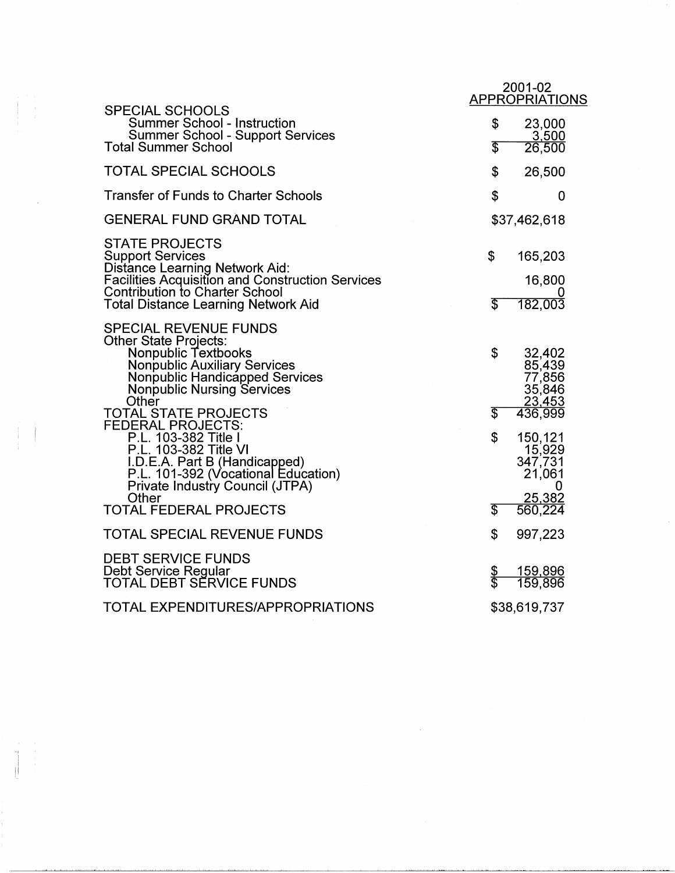|                                                                                                                                                                                                                                           | 2001-02<br><b>APPROPRIATIONS</b>                                             |
|-------------------------------------------------------------------------------------------------------------------------------------------------------------------------------------------------------------------------------------------|------------------------------------------------------------------------------|
| <b>SPECIAL SCHOOLS</b><br><b>Summer School - Instruction</b><br><b>Summer School - Support Services</b><br><b>Total Summer School</b>                                                                                                     | \$<br>23,000<br>3,500<br>\$<br>26,500                                        |
| <b>TOTAL SPECIAL SCHOOLS</b>                                                                                                                                                                                                              | \$<br>26,500                                                                 |
| <b>Transfer of Funds to Charter Schools</b>                                                                                                                                                                                               | \$<br>0                                                                      |
| <b>GENERAL FUND GRAND TOTAL</b>                                                                                                                                                                                                           | \$37,462,618                                                                 |
| <b>STATE PROJECTS</b><br><b>Support Services</b><br><b>Distance Learning Network Aid:</b><br><b>Facilities Acquisition and Construction Services</b><br><b>Contribution to Charter School</b><br>Total Distance Learning Network Aid      | \$<br>165,203<br>16,800<br>T<br>182,003                                      |
| <b>SPECIAL REVENUE FUNDS</b><br><b>Other State Projects:</b><br>Nonpublic Textbooks<br><b>Nonpublic Auxiliary Services</b><br>Nonpublic Handicapped Services<br><b>Nonpublic Nursing Services</b><br>Other<br><b>TOTAL STATE PROJECTS</b> | \$<br>32,402<br>85,439<br>77,856<br>35,846<br>23,453<br>\$<br>436,999        |
| <b>FEDERAL PROJECTS:</b><br>P.L. 103-382 Title I<br>P.L. 103-382 Title VI<br>I.D.E.A. Part B (Handicapped)<br>P.L. 101-392 (Vocational Education)<br><b>Private Industry Council (JTPA)</b><br>Other<br><b>TOTAL FEDERAL PROJECTS</b>     | \$<br>150,121<br>15,929<br>347,731<br>21,061<br>0<br>25,382<br>\$<br>560,224 |
| <b>TOTAL SPECIAL REVENUE FUNDS</b>                                                                                                                                                                                                        | \$<br>997,223                                                                |
| <b>DEBT SERVICE FUNDS</b><br>Debt Service Regular<br>TOTAL DEBT SĚRVICE FUNDS                                                                                                                                                             | 159,896<br>Տ<br>Տ<br>159,896                                                 |
| <b>TOTAL EXPENDITURES/APPROPRIATIONS</b>                                                                                                                                                                                                  | \$38,619,737                                                                 |

 $\frac{1}{2}$ 

I